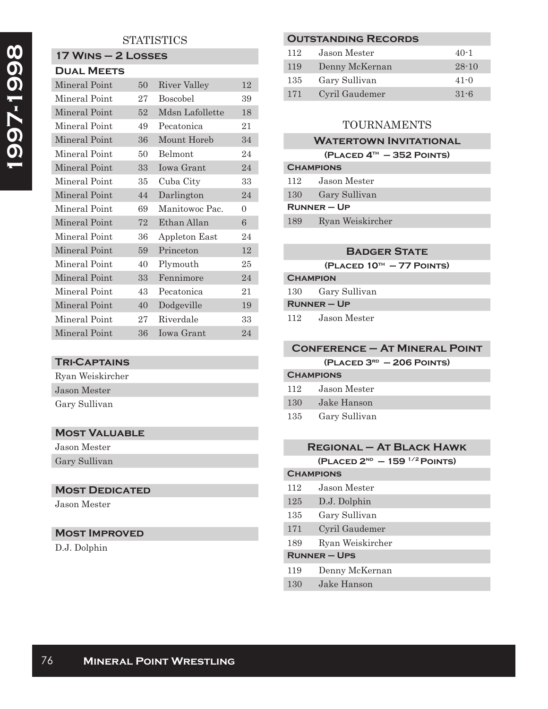## **STATISTICS**

# **17 Wins – 2 Losses**

| <b>DUAL MEETS</b> |    |                   |          |
|-------------------|----|-------------------|----------|
| Mineral Point     | 50 | River Valley      | 12       |
| Mineral Point     | 27 | <b>Boscobel</b>   | 39       |
| Mineral Point     | 52 | Mdsn Lafollette   | 18       |
| Mineral Point     | 49 | Pecatonica        | 21       |
| Mineral Point     | 36 | Mount Horeb       | 34       |
| Mineral Point     | 50 | <b>Belmont</b>    | 24       |
| Mineral Point     | 33 | <b>Iowa Grant</b> | 24       |
| Mineral Point     | 35 | Cuba City         | 33       |
| Mineral Point     | 44 | Darlington        | 24       |
| Mineral Point     | 69 | Manitowoc Pac.    | $\theta$ |
| Mineral Point     | 72 | Ethan Allan       | 6        |
| Mineral Point     | 36 | Appleton East     | 24       |
| Mineral Point     | 59 | Princeton         | 12       |
| Mineral Point     | 40 | Plymouth          | 25       |
| Mineral Point     | 33 | Fennimore         | 24       |
| Mineral Point     | 43 | Pecatonica        | 21       |
| Mineral Point     | 40 | Dodgeville        | 19       |
| Mineral Point     | 27 | Riverdale         | 33       |
| Mineral Point     | 36 | Iowa Grant        | 24       |

#### **Tri-Captains**

| Ryan Weiskircher |
|------------------|
| Jason Mester     |
| Gary Sullivan    |

### **Most Valuable**

Jason Mester Gary Sullivan

#### **MOST DEDICATED**

Jason Mester

# **Most Improved**

D.J. Dolphin

### **Outstanding Records**

| 112 | Jason Mester   | $40-1$    |
|-----|----------------|-----------|
| 119 | Denny McKernan | $28 - 10$ |
| 135 | Gary Sullivan  | $41 - 0$  |
| 171 | Cyril Gaudemer | $31 - 6$  |

# TOURNAMENTS

### **WATERTOWN INVITATIONAL**

| $(PLACED 4TH - 352$ POINTS) |  |  |  |
|-----------------------------|--|--|--|
|-----------------------------|--|--|--|

| <b>CHAMPIONS</b> |                  |  |
|------------------|------------------|--|
| 112              | Jason Mester     |  |
| 130              | Gary Sullivan    |  |
| $R$ UNNER – UP   |                  |  |
| 189              | Ryan Weiskircher |  |

#### **Badger State**

**(Placed 10th – 77 Points)**

## **Champion** 130 Gary Sullivan **Runner – Up**

112 Jason Mester

#### **Conference – At Mineral Point**

**(Placed 3rd – 206 Points)**

| <b>CHAMPIONS</b> |                  |  |
|------------------|------------------|--|
|                  | 112 Jason Mester |  |
| 130 F            | Jake Hanson      |  |
| 135              | Gary Sullivan    |  |

## **Regional – At Black Hawk**

**(Placed 2nd – 159 1/2 Points)**

# **Champions** 112 Jason Mester 125 D.J. Dolphin 135 Gary Sullivan 171 Cyril Gaudemer 189 Ryan Weiskircher **Runner – Ups** 119 Denny McKernan

130 Jake Hanson